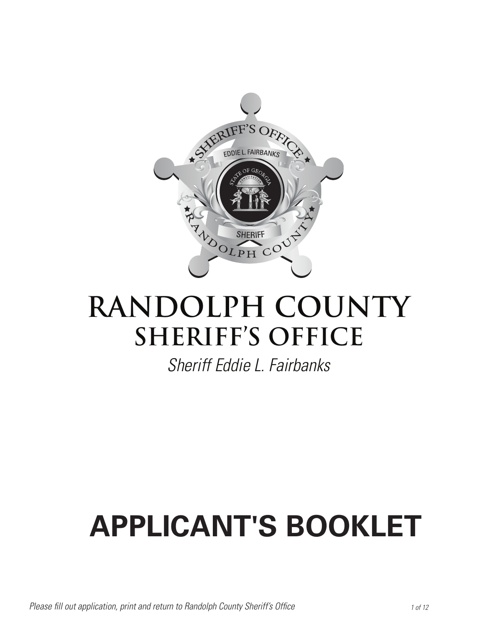

### **RANDOLPH COUNTY SHERIFF'S OFFICE**

*Sheriff Eddie L. Fairbanks*

## **APPLICANT'S BOOKLET**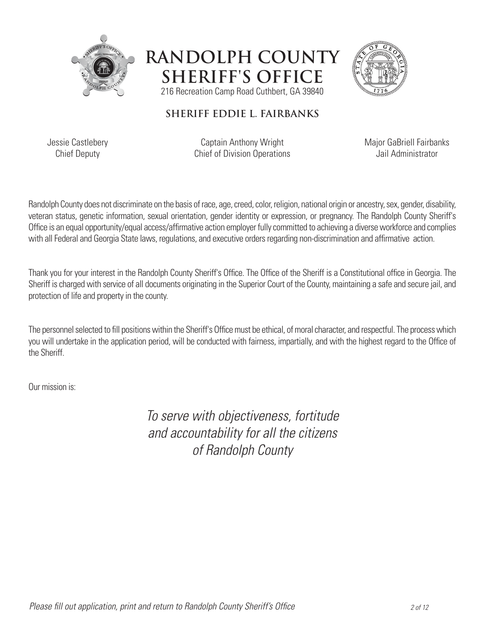





#### **SHERIFF EDDIE L. FAIRBANKS**

Jessie Castlebery Chief Deputy

Captain Anthony Wright Chief of Division Operations Major GaBriell Fairbanks Jail Administrator

Randolph County does not discriminate on the basis of race, age, creed, color, religion, national origin or ancestry, sex, gender, disability, veteran status, genetic information, sexual orientation, gender identity or expression, or pregnancy. The Randolph County Sheriff's Office is an equal opportunity/equal access/affirmative action employer fully committed to achieving a diverse workforce and complies with all Federal and Georgia State laws, regulations, and executive orders regarding non-discrimination and affirmative action.

Thank you for your interest in the Randolph County Sheriff's Office. The Office of the Sheriff is a Constitutional office in Georgia. The Sheriff is charged with service of all documents originating in the Superior Court of the County, maintaining a safe and secure jail, and protection of life and property in the county.

The personnel selected to fill positions within the Sheriff's Office must be ethical, of moral character, and respectful. The process which you will undertake in the application period, will be conducted with fairness, impartially, and with the highest regard to the Office of the Sheriff.

Our mission is:

*To serve with objectiveness, fortitude and accountability for all the citizens of Randolph County*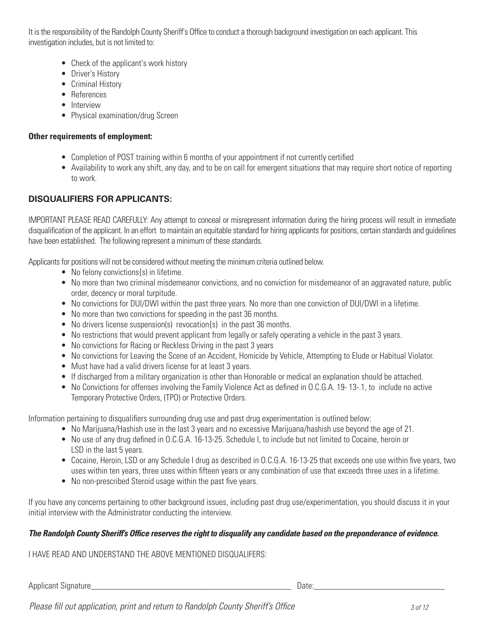It is the responsibility of the Randolph County Sheriff's Office to conduct a thorough background investigation on each applicant. This investigation includes, but is not limited to:

- Check of the applicant's work history
- Driver's History
- Criminal History
- References
- Interview
- Physical examination/drug Screen

#### **Other requirements of employment:**

- Completion of POST training within 6 months of your appointment if not currently certified
- Availability to work any shift, any day, and to be on call for emergent situations that may require short notice of reporting to work.

#### **DISQUALIFIERS FOR APPLICANTS:**

IMPORTANT PLEASE READ CAREFULLY: Any attempt to conceal or misrepresent information during the hiring process will result in immediate disqualification of the applicant. In an effort to maintain an equitable standard for hiring applicants for positions, certain standards and guidelines have been established. The following represent a minimum of these standards.

Applicants for positions will not be considered without meeting the minimum criteria outlined below.

- No felony convictions {s} in lifetime.
- No more than two criminal misdemeanor convictions, and no conviction for misdemeanor of an aggravated nature, public order, decency or moral turpitude.
- No convictions for DUI/DWI within the past three years. No more than one conviction of DUI/DWI in a lifetime.
- No more than two convictions for speeding in the past 36 months.
- No drivers license suspension(s) revocation(s) in the past 36 months.
- No restrictions that would prevent applicant from legally or safely operating a vehicle in the past 3 years.
- No convictions for Racing or Reckless Driving in the past 3 years
- No convictions for Leaving the Scene of an Accident, Homicide by Vehicle, Attempting to Elude or Habitual Violator.
- Must have had a valid drivers license for at least 3 years.
- If discharged from a military organization is other than Honorable or medical an explanation should be attached.
- No Convictions for offenses involving the Family Violence Act as defined in O.C.G.A. 19- 13-.1, to include no active Temporary Protective Orders, (TPO) or Protective Orders.

Information pertaining to disqualifiers surrounding drug use and past drug experimentation is outlined below:

- No Marijuana/Hashish use in the last 3 years and no excessive Marijuana/hashish use beyond the age of 21.
- No use of any drug defined in O.C.G.A. 16-13-25. Schedule I, to include but not limited to Cocaine, heroin or LSD in the last 5 years.
- Cocaine, Heroin, LSD or any Schedule I drug as described in O.C.G.A. 16-13-25 that exceeds one use within five years, two uses within ten years, three uses within fifteen years or any combination of use that exceeds three uses in a lifetime.
- No non-prescribed Steroid usage within the past five years.

If you have any concerns pertaining to other background issues, including past drug use/experimentation, you should discuss it in your initial interview with the Administrator conducting the interview.

#### *The Randolph County Sheriff's Office reserves the right to disqualify any candidate based on the preponderance of evidence.*

I HAVE READ AND UNDERSTAND THE ABOVE MENTIONED DISQUALIFERS:

Applicant Signature **Example 2** and the set of the set of the set of the set of the set of the set of the set of the set of the set of the set of the set of the set of the set of the set of the set of the set of the set of

*Please fill out application, print and return to Randolph County Sheriff's Office 3 of 12*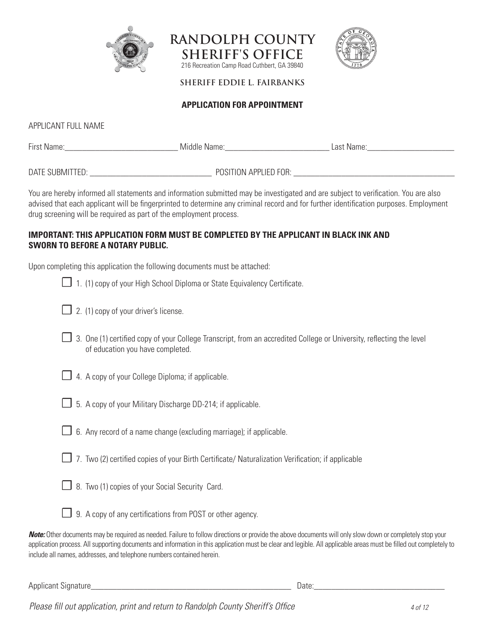





**SHERIFF EDDIE L. FAIRBANKS** 

#### **APPLICATION FOR APPOINTMENT**

APPLICANT FULL NAME

| First Name:     | Middle Name:          | Last Name: |
|-----------------|-----------------------|------------|
|                 |                       |            |
| DATE SUBMITTED: | POSITION APPLIED FOR: |            |

You are hereby informed all statements and information submitted may be investigated and are subject to verification. You are also advised that each applicant will be fingerprinted to determine any criminal record and for further identification purposes. Employment drug screening will be required as part of the employment process.

#### **IMPORTANT: THIS APPLICATION FORM MUST BE COMPLETED BY THE APPLICANT IN BLACK INK AND SWORN TO BEFORE A NOTARY PUBLIC.**

Upon completing this application the following documents must be attached:

|  |  |  |  |  |  |  |  | $\Box$ 1. (1) copy of your High School Diploma or State Equivalency Certificate. |  |
|--|--|--|--|--|--|--|--|----------------------------------------------------------------------------------|--|
|--|--|--|--|--|--|--|--|----------------------------------------------------------------------------------|--|

- $\Box$  2. (1) copy of your driver's license.
- ☐ 3. One (1) certified copy of your College Transcript, from an accredited College or University, reflecting the level of education you have completed.
- 
- ☐ 4. A copy of your College Diploma; if applicable.
- ☐ 5. A copy of your Military Discharge DD-214; if applicable.
- $\Box$  6. Any record of a name change (excluding marriage); if applicable.
- ☐ 7. Two (2) certified copies of your Birth Certificate/ Naturalization Verification; if applicable
- 
- □ 8. Two (1) copies of your Social Security Card.



□ 9. A copy of any certifications from POST or other agency.

*Note:* Other documents may be required as needed. Failure to follow directions or provide the above documents will only slow down or completely stop your application process. All supporting documents and information in this application must be clear and legible. All applicable areas must be filled out completely to include all names, addresses, and telephone numbers contained herein.

Applicant Signature **Example 2** and the set of the set of the set of the set of the set of the set of the set of the set of the set of the set of the set of the set of the set of the set of the set of the set of the set of

*Please fill out application, print and return to Randolph County Sheriff's Office 4 of 12*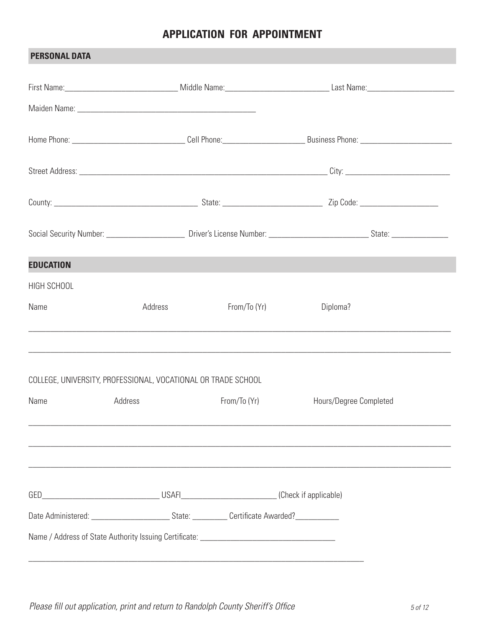#### **APPLICATION FOR APPOINTMENT**

| <b>PERSONAL DATA</b> |                                                               |              |                        |
|----------------------|---------------------------------------------------------------|--------------|------------------------|
|                      |                                                               |              |                        |
|                      |                                                               |              |                        |
|                      |                                                               |              |                        |
|                      |                                                               |              |                        |
|                      |                                                               |              |                        |
|                      |                                                               |              |                        |
| <b>EDUCATION</b>     |                                                               |              |                        |
| HIGH SCHOOL          |                                                               |              |                        |
| Name                 | Address                                                       | From/To (Yr) | Diploma?               |
|                      | COLLEGE, UNIVERSITY, PROFESSIONAL, VOCATIONAL OR TRADE SCHOOL |              |                        |
| Name                 | Address                                                       | From/To (Yr) | Hours/Degree Completed |
|                      |                                                               |              |                        |
|                      |                                                               |              |                        |
|                      |                                                               |              |                        |
|                      |                                                               |              |                        |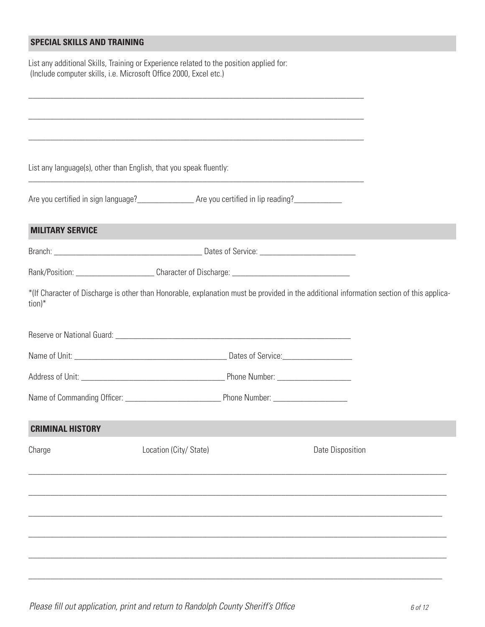#### **SPECIAL SKILLS AND TRAINING**

List any additional Skills, Training or Experience related to the position applied for: (Include computer skills, i.e. Microsoft Office 2000, Excel etc.)

List any language(s), other than English, that you speak fluently:

Are you certified in sign language?\_\_\_\_\_\_\_\_\_\_\_\_\_ Are you certified in lip reading?\_\_\_\_\_\_\_\_\_\_\_

#### **MILITARY SERVICE**

| <b>Branch</b> | - 11 |
|---------------|------|
| . ا ا ۱۰      | °⊍∪. |
|               |      |

\_\_\_\_\_\_\_\_\_\_\_\_\_\_\_\_\_\_\_\_\_\_\_\_\_\_\_\_\_\_\_\_\_\_\_\_\_\_\_\_\_\_\_\_\_\_\_\_\_\_\_\_\_\_\_\_\_\_\_\_\_\_\_\_\_\_\_\_\_\_\_\_\_\_\_\_\_

\_\_\_\_\_\_\_\_\_\_\_\_\_\_\_\_\_\_\_\_\_\_\_\_\_\_\_\_\_\_\_\_\_\_\_\_\_\_\_\_\_\_\_\_\_\_\_\_\_\_\_\_\_\_\_\_\_\_\_\_\_\_\_\_\_\_\_\_\_\_\_\_\_\_\_\_\_

| Rank/Position: | Character of Discharge: |
|----------------|-------------------------|
|----------------|-------------------------|

\*(If Character of Discharge is other than Honorable, explanation must be provided in the additional information section of this application)\*

| Reserve or National Guard: |                   |
|----------------------------|-------------------|
|                            |                   |
| Name of Unit:              | Dates of Service: |

| Address of Unit: | Phone Number: |
|------------------|---------------|
|                  |               |

Name of Commanding Officer: \_\_\_\_\_\_\_\_\_\_\_\_\_\_\_\_\_\_\_\_\_\_ Phone Number: \_\_\_\_\_\_\_\_\_\_\_\_\_\_\_\_\_

#### **CRIMINAL HISTORY**

| Charge | Location (City/ State) | Date Disposition |
|--------|------------------------|------------------|
|        |                        |                  |
|        |                        |                  |
|        |                        |                  |
|        |                        |                  |

\_\_\_\_\_\_\_\_\_\_\_\_\_\_\_\_\_\_\_\_\_\_\_\_\_\_\_\_\_\_\_\_\_\_\_\_\_\_\_\_\_\_\_\_\_\_\_\_\_\_\_\_\_\_\_\_\_\_\_\_\_\_\_\_\_\_\_\_\_\_\_\_\_\_\_\_\_\_\_\_\_\_\_\_\_\_\_\_\_\_\_\_\_\_\_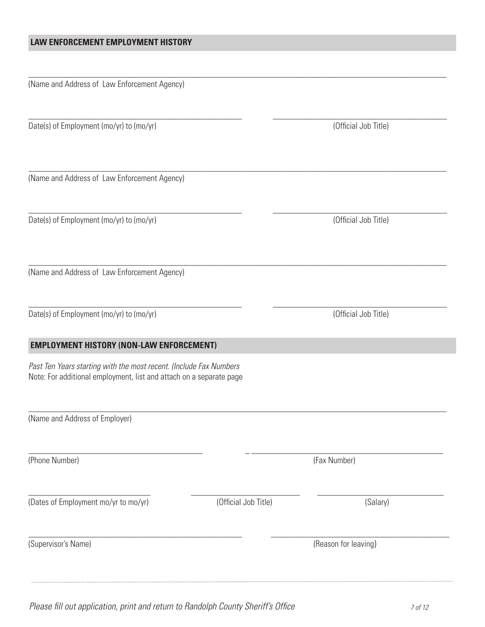#### **LAW ENFORCEMENT EMPLOYMENT HISTORY**

\_\_\_\_\_\_\_\_\_\_\_\_\_\_\_\_\_\_\_\_\_\_\_\_\_\_\_\_\_\_\_\_\_\_\_\_\_\_\_\_\_\_\_\_\_\_\_\_\_\_\_\_\_\_\_\_\_\_\_\_\_\_\_\_\_\_\_\_\_\_\_\_\_\_\_\_\_\_\_\_\_\_\_\_\_\_\_\_\_\_\_\_\_\_\_\_

\_\_\_\_\_\_\_\_\_\_\_\_\_\_\_\_\_\_\_\_\_\_\_\_\_\_\_\_\_\_\_\_\_\_\_\_\_\_\_\_\_\_\_\_\_\_\_\_\_ \_\_\_\_\_\_\_\_\_\_\_\_\_\_\_\_\_\_\_\_\_\_\_\_\_\_\_\_\_\_\_\_\_\_\_\_\_\_\_\_

\_\_\_\_\_\_\_\_\_\_\_\_\_\_\_\_\_\_\_\_\_\_\_\_\_\_\_\_\_\_\_\_\_\_\_\_\_\_\_\_\_\_\_\_\_\_\_\_\_\_\_\_\_\_\_\_\_\_\_\_\_\_\_\_\_\_\_\_\_\_\_\_\_\_\_\_\_\_\_\_\_\_\_\_\_\_\_\_\_\_\_\_\_\_\_\_

\_\_\_\_\_\_\_\_\_\_\_\_\_\_\_\_\_\_\_\_\_\_\_\_\_\_\_\_\_\_\_\_\_\_\_\_\_\_\_\_\_\_\_\_\_\_\_\_\_ \_\_\_\_\_\_\_\_\_\_\_\_\_\_\_\_\_\_\_\_\_\_\_\_\_\_\_\_\_\_\_\_\_\_\_\_\_\_\_\_

\_\_\_\_\_\_\_\_\_\_\_\_\_\_\_\_\_\_\_\_\_\_\_\_\_\_\_\_\_\_\_\_\_\_\_\_\_\_\_\_\_\_\_\_\_\_\_\_\_\_\_\_\_\_\_\_\_\_\_\_\_\_\_\_\_\_\_\_\_\_\_\_\_\_\_\_\_\_\_\_\_\_\_\_\_\_\_\_\_\_\_\_\_\_\_\_

\_\_\_\_\_\_\_\_\_\_\_\_\_\_\_\_\_\_\_\_\_\_\_\_\_\_\_\_\_\_\_\_\_\_\_\_\_\_\_\_\_\_\_\_\_\_\_\_\_ \_\_\_\_\_\_\_\_\_\_\_\_\_\_\_\_\_\_\_\_\_\_\_\_\_\_\_\_\_\_\_\_\_\_\_\_\_\_\_\_

\_\_\_\_\_\_\_\_\_\_\_\_\_\_\_\_\_\_\_\_\_\_\_\_\_\_\_\_\_\_\_\_\_\_\_\_\_\_\_\_\_\_\_\_\_\_\_\_\_\_\_\_\_\_\_\_\_\_\_\_\_\_\_\_\_\_\_\_\_\_\_\_\_\_\_\_\_\_\_\_\_\_\_\_\_\_\_\_\_\_\_\_\_\_\_\_

\_\_\_\_\_\_\_\_\_\_\_\_\_\_\_\_\_\_\_\_\_\_\_\_\_\_\_\_\_\_\_\_\_\_\_\_\_\_\_\_ \_ \_\_\_\_\_\_\_\_\_\_\_\_\_\_\_\_\_\_\_\_\_\_\_\_\_\_\_\_\_\_\_\_\_\_\_\_\_\_\_\_\_\_\_\_

\_\_\_\_\_\_\_\_\_\_\_\_\_\_\_\_\_\_\_\_\_\_\_\_\_\_\_\_ \_\_\_\_\_\_\_\_\_\_\_\_\_\_\_\_\_\_\_\_\_\_\_\_\_ \_\_\_\_\_\_\_\_\_\_\_\_\_\_\_\_\_\_\_\_\_\_\_\_\_\_\_\_\_

\_\_\_\_\_\_\_\_\_\_\_\_\_\_\_\_\_\_\_\_\_\_\_\_\_\_\_\_\_\_\_\_\_\_\_\_\_\_\_\_\_\_\_\_\_\_\_\_\_ \_\_\_\_\_\_\_\_\_\_\_\_\_\_\_\_\_\_\_\_\_\_\_\_\_\_\_\_\_\_\_\_\_\_\_\_\_\_\_\_\_

(Name and Address of Law Enforcement Agency)

Date(s) of Employment (mo/yr) to (mo/yr) (Official Job Title)

(Name and Address of Law Enforcement Agency)

Date(s) of Employment (mo/yr) to (mo/yr) (Official Job Title)

(Name and Address of Law Enforcement Agency)

Date(s) of Employment (mo/yr) to (mo/yr) (Official Job Title)

#### **EMPLOYMENT HISTORY (NON-LAW ENFORCEMENT)**

*Past Ten Years starting with the most recent. (Include Fax Numbers* Note: For additional employment, list and attach on a separate page

(Name and Address of Employer)

(Phone Number) (Fax Number)

(Dates of Employment mo/yr to mo/yr) (Official Job Title) (Salary)

(Supervisor's Name) (Supervisor's Name)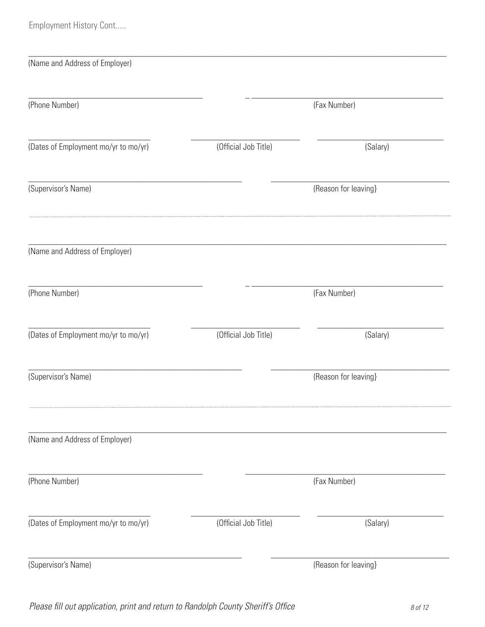Employment History Cont.....

| (Name and Address of Employer)       |                      |                      |  |
|--------------------------------------|----------------------|----------------------|--|
| (Phone Number)                       |                      | (Fax Number)         |  |
| (Dates of Employment mo/yr to mo/yr) | (Official Job Title) | (Salary)             |  |
| (Supervisor's Name)                  |                      | (Reason for leaving) |  |
| (Name and Address of Employer)       |                      |                      |  |
| (Phone Number)                       |                      | (Fax Number)         |  |
| (Dates of Employment mo/yr to mo/yr) | (Official Job Title) | (Salary)             |  |
| (Supervisor's Name)                  |                      | (Reason for leaving) |  |
| (Name and Address of Employer)       |                      |                      |  |
| (Phone Number)                       |                      | (Fax Number)         |  |
| (Dates of Employment mo/yr to mo/yr) | (Official Job Title) | (Salary)             |  |
| (Supervisor's Name)                  |                      | (Reason for leaving) |  |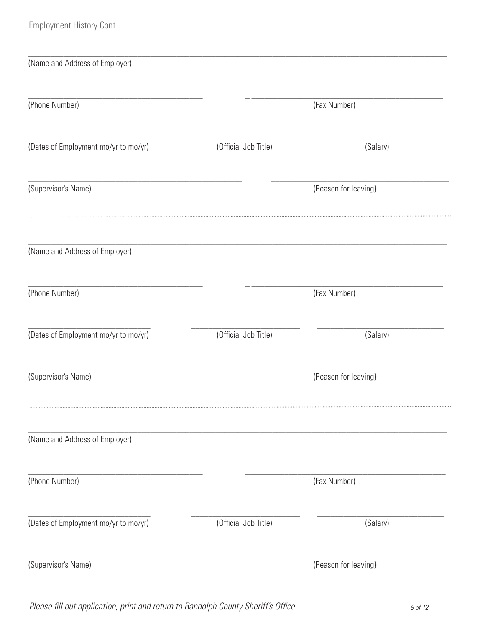Employment History Cont.....

| (Name and Address of Employer)       |                      |                      |  |
|--------------------------------------|----------------------|----------------------|--|
| (Phone Number)                       |                      | (Fax Number)         |  |
| (Dates of Employment mo/yr to mo/yr) | (Official Job Title) | (Salary)             |  |
| (Supervisor's Name)                  |                      | (Reason for leaving) |  |
| (Name and Address of Employer)       |                      |                      |  |
| (Phone Number)                       |                      | (Fax Number)         |  |
| (Dates of Employment mo/yr to mo/yr) | (Official Job Title) | (Salary)             |  |
| (Supervisor's Name)                  |                      | (Reason for leaving) |  |
| (Name and Address of Employer)       |                      |                      |  |
| (Phone Number)                       |                      | (Fax Number)         |  |
| (Dates of Employment mo/yr to mo/yr) | (Official Job Title) | (Salary)             |  |
| (Supervisor's Name)                  |                      | (Reason for leaving) |  |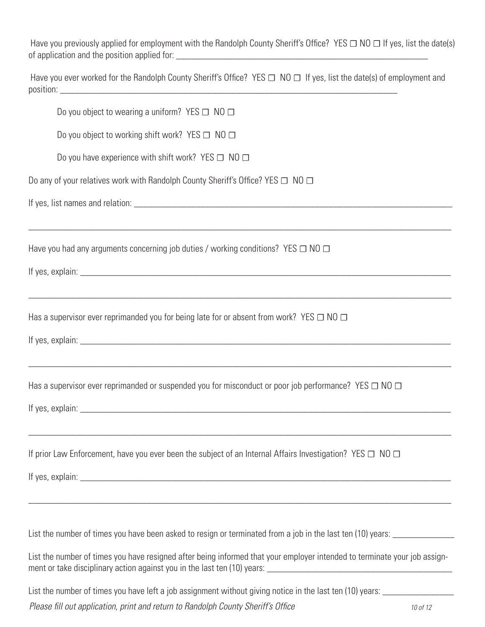Have you previously applied for employment with the Randolph County Sheriff's Office? YES  $\Box$  NO  $\Box$  If yes, list the date(s) of application and the position applied for: \_\_\_\_\_\_\_\_\_\_\_\_\_\_\_\_\_\_\_\_\_\_\_\_\_\_\_\_\_\_\_\_\_\_\_\_\_\_\_\_\_\_\_\_\_\_\_\_\_\_\_\_\_

Have you ever worked for the Randolph County Sheriff's Office? YES  $\Box$  NO  $\Box$  If yes, list the date(s) of employment and position: \_\_\_\_\_\_\_\_\_\_\_\_\_\_\_\_\_\_\_\_\_\_\_\_\_\_\_\_\_\_\_\_\_\_\_\_\_\_\_\_\_\_\_\_\_\_\_\_\_\_\_\_\_\_\_\_\_\_\_\_\_\_\_\_\_\_\_\_\_\_\_

\_\_\_\_\_\_\_\_\_\_\_\_\_\_\_\_\_\_\_\_\_\_\_\_\_\_\_\_\_\_\_\_\_\_\_\_\_\_\_\_\_\_\_\_\_\_\_\_\_\_\_\_\_\_\_\_\_\_\_\_\_\_\_\_\_\_\_\_\_\_\_\_\_\_\_\_\_\_\_\_\_\_\_\_\_\_\_\_\_

\_\_\_\_\_\_\_\_\_\_\_\_\_\_\_\_\_\_\_\_\_\_\_\_\_\_\_\_\_\_\_\_\_\_\_\_\_\_\_\_\_\_\_\_\_\_\_\_\_\_\_\_\_\_\_\_\_\_\_\_\_\_\_\_\_\_\_\_\_\_\_\_\_\_\_\_\_\_\_\_\_\_\_\_\_\_\_\_\_

\_\_\_\_\_\_\_\_\_\_\_\_\_\_\_\_\_\_\_\_\_\_\_\_\_\_\_\_\_\_\_\_\_\_\_\_\_\_\_\_\_\_\_\_\_\_\_\_\_\_\_\_\_\_\_\_\_\_\_\_\_\_\_\_\_\_\_\_\_\_\_\_\_\_\_\_\_\_\_\_\_\_\_\_\_\_\_\_\_

\_\_\_\_\_\_\_\_\_\_\_\_\_\_\_\_\_\_\_\_\_\_\_\_\_\_\_\_\_\_\_\_\_\_\_\_\_\_\_\_\_\_\_\_\_\_\_\_\_\_\_\_\_\_\_\_\_\_\_\_\_\_\_\_\_\_\_\_\_\_\_\_\_\_\_\_\_\_\_\_\_\_\_\_\_\_\_\_\_

\_\_\_\_\_\_\_\_\_\_\_\_\_\_\_\_\_\_\_\_\_\_\_\_\_\_\_\_\_\_\_\_\_\_\_\_\_\_\_\_\_\_\_\_\_\_\_\_\_\_\_\_\_\_\_\_\_\_\_\_\_\_\_\_\_\_\_\_\_\_\_\_\_\_\_\_\_\_\_\_\_\_\_\_\_\_\_\_\_

| Do you object to wearing a uniform? YES $\Box$ NO $\Box$ |  |
|----------------------------------------------------------|--|
|----------------------------------------------------------|--|

Do you object to working shift work? YES  $\Box$  NO  $\Box$ 

Do you have experience with shift work? YES  $\Box$  NO  $\Box$ 

Do any of your relatives work with Randolph County Sheriff's Office? YES □ NO □

If yes, list names and relation: \_\_\_\_\_\_\_\_\_\_\_\_\_\_\_\_\_\_\_\_\_\_\_\_\_\_\_\_\_\_\_\_\_\_\_\_\_\_\_\_\_\_\_\_\_\_\_\_\_\_\_\_\_\_\_\_\_\_\_\_\_\_\_\_\_\_\_

Have you had any arguments concerning job duties / working conditions? YES  $\Box$  NO  $\Box$ 

If yes, explain:  $\blacksquare$ 

Has a supervisor ever reprimanded you for being late for or absent from work? YES  $\Box$  NO  $\Box$ 

If yes, explain:  $\blacksquare$ 

Has a supervisor ever reprimanded or suspended you for misconduct or poor job performance? YES  $\Box$  NO  $\Box$ 

If yes, explain:  $\Box$ 

If prior Law Enforcement, have you ever been the subject of an Internal Affairs Investigation? YES  $\Box$  NO  $\Box$ 

If yes, explain:  $\blacksquare$ 

List the number of times you have been asked to resign or terminated from a job in the last ten (10) years:

List the number of times you have resigned after being informed that your employer intended to terminate your job assignment or take disciplinary action against you in the last ten (10) years: \_\_\_\_\_\_\_\_\_\_\_\_\_\_\_\_\_\_\_\_\_\_\_\_\_\_\_\_\_\_\_\_\_\_\_\_\_\_\_

List the number of times you have left a job assignment without giving notice in the last ten (10) years:

*Please fill out application, print and return to Randolph County Sheriff's Office 10 of 12*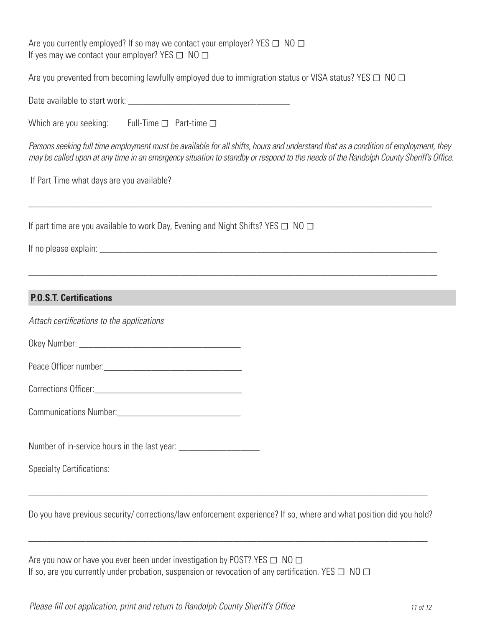Are you currently employed? If so may we contact your employer? YES  $\Box$  NO  $\Box$ If yes may we contact your employer? YES  $\Box$  NO  $\Box$ 

Are you prevented from becoming lawfully employed due to immigration status or VISA status? YES  $\Box$  NO  $\Box$ 

Date available to start work:  $\Box$ 

| Which are you seeking: |  | Full-Time $\Box$ Part-time $\Box$ |
|------------------------|--|-----------------------------------|
|------------------------|--|-----------------------------------|

*Persons seeking full time employment must be available for all shifts, hours and understand that as a condition of employment, they may be called upon at any time in an emergency situation to standby or respond to the needs of the Randolph County Sheriff's Office.*

\_\_\_\_\_\_\_\_\_\_\_\_\_\_\_\_\_\_\_\_\_\_\_\_\_\_\_\_\_\_\_\_\_\_\_\_\_\_\_\_\_\_\_\_\_\_\_\_\_\_\_\_\_\_\_\_\_\_\_\_\_\_\_\_\_\_\_\_\_\_\_\_\_\_\_\_\_\_\_\_\_\_\_\_\_

\_\_\_\_\_\_\_\_\_\_\_\_\_\_\_\_\_\_\_\_\_\_\_\_\_\_\_\_\_\_\_\_\_\_\_\_\_\_\_\_\_\_\_\_\_\_\_\_\_\_\_\_\_\_\_\_\_\_\_\_\_\_\_\_\_\_\_\_\_\_\_\_\_\_\_\_\_\_\_\_\_\_\_\_\_\_

If Part Time what days are you available?

If part time are you available to work Day, Evening and Night Shifts? YES  $\Box$  NO  $\Box$ 

If no please explain:  $\Box$ 

#### **P.O.S.T. Certifications**

*Attach certifications to the applications*

Okey Number: \_\_\_\_\_\_\_\_\_\_\_\_\_\_\_\_\_\_\_\_\_\_\_\_\_\_\_\_\_\_\_\_\_\_

Peace Officer number:  $\blacksquare$ 

Corrections Officer:

Communications Number:

Number of in-service hours in the last year:

Specialty Certifications:

Do you have previous security/ corrections/law enforcement experience? If so, where and what position did you hold?

\_\_\_\_\_\_\_\_\_\_\_\_\_\_\_\_\_\_\_\_\_\_\_\_\_\_\_\_\_\_\_\_\_\_\_\_\_\_\_\_\_\_\_\_\_\_\_\_\_\_\_\_\_\_\_\_\_\_\_\_\_\_\_\_\_\_\_\_\_\_\_\_\_\_\_\_\_\_\_\_\_\_\_\_

\_\_\_\_\_\_\_\_\_\_\_\_\_\_\_\_\_\_\_\_\_\_\_\_\_\_\_\_\_\_\_\_\_\_\_\_\_\_\_\_\_\_\_\_\_\_\_\_\_\_\_\_\_\_\_\_\_\_\_\_\_\_\_\_\_\_\_\_\_\_\_\_\_\_\_\_\_\_\_\_\_\_\_\_

Are you now or have you ever been under investigation by POST? YES  $\Box$  NO  $\Box$ If so, are you currently under probation, suspension or revocation of any certification. YES  $\Box$  NO  $\Box$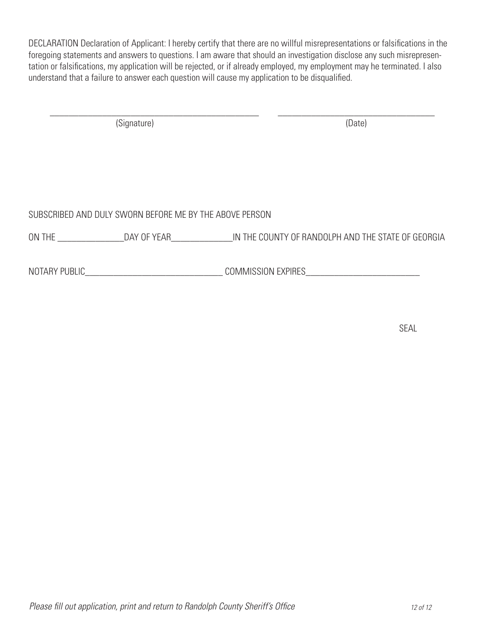DECLARATION Declaration of Applicant: I hereby certify that there are no willful misrepresentations or falsifications in the foregoing statements and answers to questions. I am aware that should an investigation disclose any such misrepresentation or falsifications, my application will be rejected, or if already employed, my employment may he terminated. I also understand that a failure to answer each question will cause my application to be disqualified.

\_\_\_\_\_\_\_\_\_\_\_\_\_\_\_\_\_\_\_\_\_\_\_\_\_\_\_\_\_\_\_\_\_\_\_\_\_\_\_\_\_\_\_\_ \_\_\_\_\_\_\_\_\_\_\_\_\_\_\_\_\_\_\_\_\_\_\_\_\_\_\_\_\_\_\_\_\_ (Signature) (Date)

#### SUBSCRIBED AND DULY SWORN BEFORE ME BY THE ABOVE PERSON

ON THE DAY OF YEAR DAY OF YEAR ALL THE COUNTY OF RANDOLPH AND THE STATE OF GEORGIA

NOTARY PUBLIC\_\_\_\_\_\_\_\_\_\_\_\_\_\_\_\_\_\_\_\_\_\_\_\_\_\_\_\_\_ COMMISSION EXPIRES\_\_\_\_\_\_\_\_\_\_\_\_\_\_\_\_\_\_\_\_\_\_\_\_

SEAL